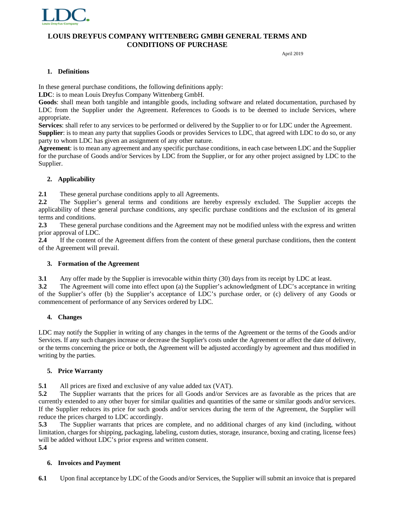

April 2019

#### **1. Definitions**

In these general purchase conditions, the following definitions apply:

**LDC**: is to mean Louis Dreyfus Company Wittenberg GmbH.

**Goods**: shall mean both tangible and intangible goods, including software and related documentation, purchased by LDC from the Supplier under the Agreement. References to Goods is to be deemed to include Services, where appropriate.

**Services**: shall refer to any services to be performed or delivered by the Supplier to or for LDC under the Agreement. **Supplier**: is to mean any party that supplies Goods or provides Services to LDC, that agreed with LDC to do so, or any party to whom LDC has given an assignment of any other nature.

**Agreement**: is to mean any agreement and any specific purchase conditions, in each case between LDC and the Supplier for the purchase of Goods and/or Services by LDC from the Supplier, or for any other project assigned by LDC to the Supplier.

# **2. Applicability**

**2.1** These general purchase conditions apply to all Agreements.

**2.2** The Supplier's general terms and conditions are hereby expressly excluded. The Supplier accepts the applicability of these general purchase conditions, any specific purchase conditions and the exclusion of its general terms and conditions.

**2.3** These general purchase conditions and the Agreement may not be modified unless with the express and written prior approval of LDC.

**2.4** If the content of the Agreement differs from the content of these general purchase conditions, then the content of the Agreement will prevail.

# **3. Formation of the Agreement**

**3.1** Any offer made by the Supplier is irrevocable within thirty (30) days from its receipt by LDC at least.

**3.2** The Agreement will come into effect upon (a) the Supplier's acknowledgment of LDC's acceptance in writing of the Supplier's offer (b) the Supplier's acceptance of LDC's purchase order, or (c) delivery of any Goods or commencement of performance of any Services ordered by LDC.

# **4. Changes**

LDC may notify the Supplier in writing of any changes in the terms of the Agreement or the terms of the Goods and/or Services. If any such changes increase or decrease the Supplier's costs under the Agreement or affect the date of delivery, or the terms concerning the price or both, the Agreement will be adjusted accordingly by agreement and thus modified in writing by the parties.

# **5. Price Warranty**

**5.1** All prices are fixed and exclusive of any value added tax (VAT).

**5.2** The Supplier warrants that the prices for all Goods and/or Services are as favorable as the prices that are currently extended to any other buyer for similar qualities and quantities of the same or similar goods and/or services. If the Supplier reduces its price for such goods and/or services during the term of the Agreement, the Supplier will reduce the prices charged to LDC accordingly.

**5.3** The Supplier warrants that prices are complete, and no additional charges of any kind (including, without limitation, charges for shipping, packaging, labeling, custom duties, storage, insurance, boxing and crating, license fees) will be added without LDC's prior express and written consent.

### **5.4**

### **6. Invoices and Payment**

**6.1** Upon final acceptance by LDC of the Goods and/or Services, the Supplier will submit an invoice that is prepared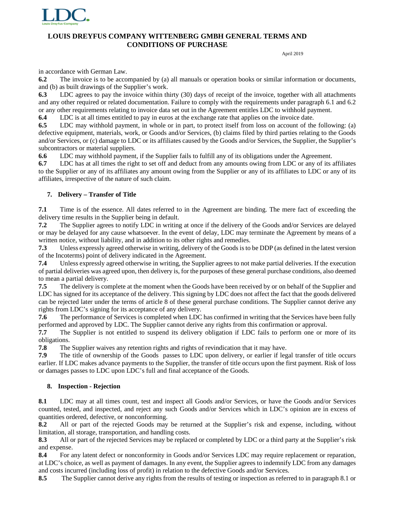

April 2019

in accordance with German Law.

**6.2** The invoice is to be accompanied by (a) all manuals or operation books or similar information or documents, and (b) as built drawings of the Supplier's work.

**6.3** LDC agrees to pay the invoice within thirty (30) days of receipt of the invoice, together with all attachments and any other required or related documentation. Failure to comply with the requirements under paragraph 6.1 and 6.2 or any other requirements relating to invoice data set out in the Agreement entitles LDC to withhold payment.

**6.4** LDC is at all times entitled to pay in euros at the exchange rate that applies on the invoice date.

**6.5** LDC may withhold payment, in whole or in part, to protect itself from loss on account of the following: (a) defective equipment, materials, work, or Goods and/or Services, (b) claims filed by third parties relating to the Goods and/or Services, or (c) damage to LDC or its affiliates caused by the Goods and/or Services, the Supplier, the Supplier's subcontractors or material suppliers.

**6.6** LDC may withhold payment, if the Supplier fails to fulfill any of its obligations under the Agreement.

**6.7** LDC has at all times the right to set off and deduct from any amounts owing from LDC or any of its affiliates to the Supplier or any of its affiliates any amount owing from the Supplier or any of its affiliates to LDC or any of its affiliates, irrespective of the nature of such claim.

### **7. Delivery – Transfer of Title**

**7.1** Time is of the essence. All dates referred to in the Agreement are binding. The mere fact of exceeding the delivery time results in the Supplier being in default.

**7.2** The Supplier agrees to notify LDC in writing at once if the delivery of the Goods and/or Services are delayed or may be delayed for any cause whatsoever. In the event of delay, LDC may terminate the Agreement by means of a written notice, without liability, and in addition to its other rights and remedies.

**7.3** Unless expressly agreed otherwise in writing, delivery of the Goods is to be DDP (as defined in the latest version of the Incoterms) point of delivery indicated in the Agreement.

**7.4** Unless expressly agreed otherwise in writing, the Supplier agrees to not make partial deliveries. If the execution of partial deliveries was agreed upon, then delivery is, for the purposes of these general purchase conditions, also deemed to mean a partial delivery.

**7.5** The delivery is complete at the moment when the Goods have been received by or on behalf of the Supplier and LDC has signed for its acceptance of the delivery. This signing by LDC does not affect the fact that the goods delivered can be rejected later under the terms of article 8 of these general purchase conditions. The Supplier cannot derive any rights from LDC's signing for its acceptance of any delivery.

**7.6** The performance of Services is completed when LDC has confirmed in writing that the Services have been fully performed and approved by LDC. The Supplier cannot derive any rights from this confirmation or approval.

**7.7** The Supplier is not entitled to suspend its delivery obligation if LDC fails to perform one or more of its obligations.

**7.8** The Supplier waives any retention rights and rights of revindication that it may have.

**7.9** The title of ownership of the Goods passes to LDC upon delivery, or earlier if legal transfer of title occurs earlier. If LDC makes advance payments to the Supplier, the transfer of title occurs upon the first payment. Risk of loss or damages passes to LDC upon LDC's full and final acceptance of the Goods.

### **8. Inspection - Rejection**

**8.1** LDC may at all times count, test and inspect all Goods and/or Services, or have the Goods and/or Services counted, tested, and inspected, and reject any such Goods and/or Services which in LDC's opinion are in excess of quantities ordered, defective, or nonconforming.

**8.2** All or part of the rejected Goods may be returned at the Supplier's risk and expense, including, without limitation, all storage, transportation, and handling costs.

**8.3** All or part of the rejected Services may be replaced or completed by LDC or a third party at the Supplier's risk and expense.

**8.4** For any latent defect or nonconformity in Goods and/or Services LDC may require replacement or reparation, at LDC's choice, as well as payment of damages. In any event, the Supplier agrees to indemnify LDC from any damages and costs incurred (including loss of profit) in relation to the defective Goods and/or Services.

**8.5** The Supplier cannot derive any rights from the results of testing or inspection as referred to in paragraph 8.1 or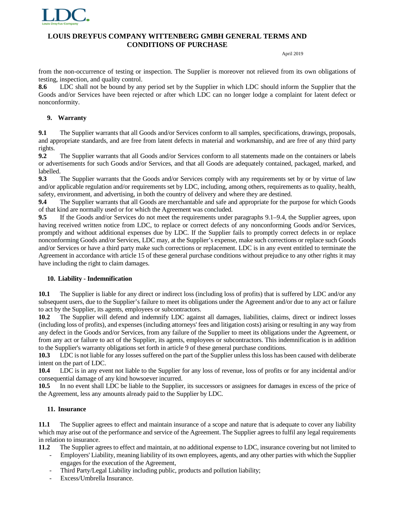

April 2019

from the non-occurrence of testing or inspection. The Supplier is moreover not relieved from its own obligations of testing, inspection, and quality control.

**8.6** LDC shall not be bound by any period set by the Supplier in which LDC should inform the Supplier that the Goods and/or Services have been rejected or after which LDC can no longer lodge a complaint for latent defect or nonconformity.

### **9. Warranty**

**9.1** The Supplier warrants that all Goods and/or Services conform to all samples, specifications, drawings, proposals, and appropriate standards, and are free from latent defects in material and workmanship, and are free of any third party rights.

**9.2** The Supplier warrants that all Goods and/or Services conform to all statements made on the containers or labels or advertisements for such Goods and/or Services, and that all Goods are adequately contained, packaged, marked, and labelled.

**9.3** The Supplier warrants that the Goods and/or Services comply with any requirements set by or by virtue of law and/or applicable regulation and/or requirements set by LDC, including, among others, requirements as to quality, health, safety, environment, and advertising, in both the country of delivery and where they are destined.

**9.4** The Supplier warrants that all Goods are merchantable and safe and appropriate for the purpose for which Goods of that kind are normally used or for which the Agreement was concluded.

**9.5** If the Goods and/or Services do not meet the requirements under paragraphs 9.1–9.4, the Supplier agrees, upon having received written notice from LDC, to replace or correct defects of any nonconforming Goods and/or Services, promptly and without additional expenses due by LDC. If the Supplier fails to promptly correct defects in or replace nonconforming Goods and/or Services, LDC may, at the Supplier's expense, make such corrections or replace such Goods and/or Services or have a third party make such corrections or replacement. LDC is in any event entitled to terminate the Agreement in accordance with article 15 of these general purchase conditions without prejudice to any other rights it may have including the right to claim damages.

### **10. Liability - Indemnification**

**10.1** The Supplier is liable for any direct or indirect loss (including loss of profits) that is suffered by LDC and/or any subsequent users, due to the Supplier's failure to meet its obligations under the Agreement and/or due to any act or failure to act by the Supplier, its agents, employees or subcontractors.

**10.2** The Supplier will defend and indemnify LDC against all damages, liabilities, claims, direct or indirect losses (including loss of profits), and expenses (including attorneys' fees and litigation costs) arising or resulting in any way from any defect in the Goods and/or Services, from any failure of the Supplier to meet its obligations under the Agreement, or from any act or failure to act of the Supplier, its agents, employees or subcontractors. This indemnification is in addition to the Supplier's warranty obligations set forth in article 9 of these general purchase conditions.

**10.3** LDC is not liable for any losses suffered on the part of the Supplier unless this loss has been caused with deliberate intent on the part of LDC.

**10.4** LDC is in any event not liable to the Supplier for any loss of revenue, loss of profits or for any incidental and/or consequential damage of any kind howsoever incurred.

**10.5** In no event shall LDC be liable to the Supplier, its successors or assignees for damages in excess of the price of the Agreement, less any amounts already paid to the Supplier by LDC.

#### **11. Insurance**

**11.1** The Supplier agrees to effect and maintain insurance of a scope and nature that is adequate to cover any liability which may arise out of the performance and service of the Agreement. The Supplier agrees to fulfil any legal requirements in relation to insurance.

**11.2** The Supplier agrees to effect and maintain, at no additional expense to LDC, insurance covering but not limited to

- Employers' Liability, meaning liability of its own employees, agents, and any other parties with which the Supplier engages for the execution of the Agreement,
- Third Party/Legal Liability including public, products and pollution liability;
- Excess/Umbrella Insurance.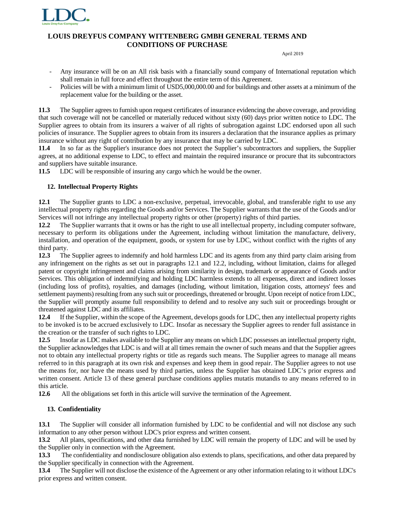

April 2019

- Any insurance will be on an All risk basis with a financially sound company of International reputation which shall remain in full force and effect throughout the entire term of this Agreement.
- Policies will be with a minimum limit of USD5,000,000.00 and for buildings and other assets at a minimum of the replacement value for the building or the asset.

**11.3** The Supplier agrees to furnish upon request certificates of insurance evidencing the above coverage, and providing that such coverage will not be cancelled or materially reduced without sixty (60) days prior written notice to LDC. The Supplier agrees to obtain from its insurers a waiver of all rights of subrogation against LDC endorsed upon all such policies of insurance. The Supplier agrees to obtain from its insurers a declaration that the insurance applies as primary insurance without any right of contribution by any insurance that may be carried by LDC.

**11.4** In so far as the Supplier's insurance does not protect the Supplier's subcontractors and suppliers, the Supplier agrees, at no additional expense to LDC, to effect and maintain the required insurance or procure that its subcontractors and suppliers have suitable insurance.

**11.5** LDC will be responsible of insuring any cargo which he would be the owner.

# **12. Intellectual Property Rights**

**12.1** The Supplier grants to LDC a non-exclusive, perpetual, irrevocable, global, and transferable right to use any intellectual property rights regarding the Goods and/or Services. The Supplier warrants that the use of the Goods and/or Services will not infringe any intellectual property rights or other (property) rights of third parties.

**12.2** The Supplier warrants that it owns or has the right to use all intellectual property, including computer software, necessary to perform its obligations under the Agreement, including without limitation the manufacture, delivery, installation, and operation of the equipment, goods, or system for use by LDC, without conflict with the rights of any third party.

**12.3** The Supplier agrees to indemnify and hold harmless LDC and its agents from any third party claim arising from any infringement on the rights as set out in paragraphs 12.1 and 12.2, including, without limitation, claims for alleged patent or copyright infringement and claims arising from similarity in design, trademark or appearance of Goods and/or Services. This obligation of indemnifying and holding LDC harmless extends to all expenses, direct and indirect losses (including loss of profits), royalties, and damages (including, without limitation, litigation costs, attorneys' fees and settlement payments) resulting from any such suit or proceedings, threatened or brought. Upon receipt of notice from LDC, the Supplier will promptly assume full responsibility to defend and to resolve any such suit or proceedings brought or threatened against LDC and its affiliates.

**12.4** If the Supplier, within the scope of the Agreement, develops goods for LDC, then any intellectual property rights to be invoked is to be accrued exclusively to LDC. Insofar as necessary the Supplier agrees to render full assistance in the creation or the transfer of such rights to LDC.

**12.5** Insofar as LDC makes available to the Supplier any means on which LDC possesses an intellectual property right, the Supplier acknowledges that LDC is and will at all times remain the owner of such means and that the Supplier agrees not to obtain any intellectual property rights or title as regards such means. The Supplier agrees to manage all means referred to in this paragraph at its own risk and expenses and keep them in good repair. The Supplier agrees to not use the means for, nor have the means used by third parties, unless the Supplier has obtained LDC's prior express and written consent. Article 13 of these general purchase conditions applies mutatis mutandis to any means referred to in this article.

**12.6** All the obligations set forth in this article will survive the termination of the Agreement.

# **13. Confidentiality**

**13.1** The Supplier will consider all information furnished by LDC to be confidential and will not disclose any such information to any other person without LDC's prior express and written consent.

**13.2** All plans, specifications, and other data furnished by LDC will remain the property of LDC and will be used by the Supplier only in connection with the Agreement.

**13.3** The confidentiality and nondisclosure obligation also extends to plans, specifications, and other data prepared by the Supplier specifically in connection with the Agreement.

**13.4** The Supplier will not disclose the existence of the Agreement or any other information relating to it without LDC's prior express and written consent.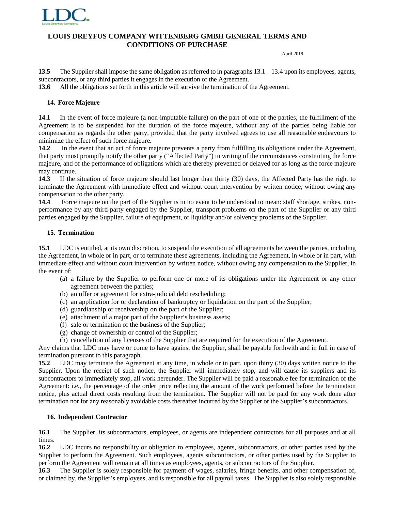

April 2019

**13.5** The Supplier shall impose the same obligation as referred to in paragraphs 13.1 – 13.4 upon its employees, agents, subcontractors, or any third parties it engages in the execution of the Agreement.

**13.6** All the obligations set forth in this article will survive the termination of the Agreement.

#### **14. Force Majeure**

**14.1** In the event of force majeure (a non-imputable failure) on the part of one of the parties, the fulfillment of the Agreement is to be suspended for the duration of the force majeure, without any of the parties being liable for compensation as regards the other party, provided that the party involved agrees to use all reasonable endeavours to minimize the effect of such force majeure.

**14.2** In the event that an act of force majeure prevents a party from fulfilling its obligations under the Agreement, that party must promptly notify the other party ("Affected Party") in writing of the circumstances constituting the force majeure, and of the performance of obligations which are thereby prevented or delayed for as long as the force majeure may continue.

**14.3** If the situation of force majeure should last longer than thirty (30) days, the Affected Party has the right to terminate the Agreement with immediate effect and without court intervention by written notice, without owing any compensation to the other party.

**14.4** Force majeure on the part of the Supplier is in no event to be understood to mean: staff shortage, strikes, nonperformance by any third party engaged by the Supplier, transport problems on the part of the Supplier or any third parties engaged by the Supplier, failure of equipment, or liquidity and/or solvency problems of the Supplier.

### **15. Termination**

**15.1** LDC is entitled, at its own discretion, to suspend the execution of all agreements between the parties, including the Agreement, in whole or in part, or to terminate these agreements, including the Agreement, in whole or in part, with immediate effect and without court intervention by written notice, without owing any compensation to the Supplier, in the event of:

- (a) a failure by the Supplier to perform one or more of its obligations under the Agreement or any other agreement between the parties;
- (b) an offer or agreement for extra-judicial debt rescheduling;
- (c) an application for or declaration of bankruptcy or liquidation on the part of the Supplier;
- (d) guardianship or receivership on the part of the Supplier;
- (e) attachment of a major part of the Supplier's business assets;
- (f) sale or termination of the business of the Supplier;
- (g) change of ownership or control of the Supplier;
- (h) cancellation of any licenses of the Supplier that are required for the execution of the Agreement.

Any claims that LDC may have or come to have against the Supplier, shall be payable forthwith and in full in case of termination pursuant to this paragraph.

**15.2** LDC may terminate the Agreement at any time, in whole or in part, upon thirty (30) days written notice to the Supplier. Upon the receipt of such notice, the Supplier will immediately stop, and will cause its suppliers and its subcontractors to immediately stop, all work hereunder. The Supplier will be paid a reasonable fee for termination of the Agreement: i.e., the percentage of the order price reflecting the amount of the work performed before the termination notice, plus actual direct costs resulting from the termination. The Supplier will not be paid for any work done after termination nor for any reasonably avoidable costs thereafter incurred by the Supplier or the Supplier's subcontractors.

#### **16. Independent Contractor**

**16.1** The Supplier, its subcontractors, employees, or agents are independent contractors for all purposes and at all times.

**16.2** LDC incurs no responsibility or obligation to employees, agents, subcontractors, or other parties used by the Supplier to perform the Agreement. Such employees, agents subcontractors, or other parties used by the Supplier to perform the Agreement will remain at all times as employees, agents, or subcontractors of the Supplier.

**16.3** The Supplier is solely responsible for payment of wages, salaries, fringe benefits, and other compensation of, or claimed by, the Supplier's employees, and is responsible for all payroll taxes. The Supplier is also solely responsible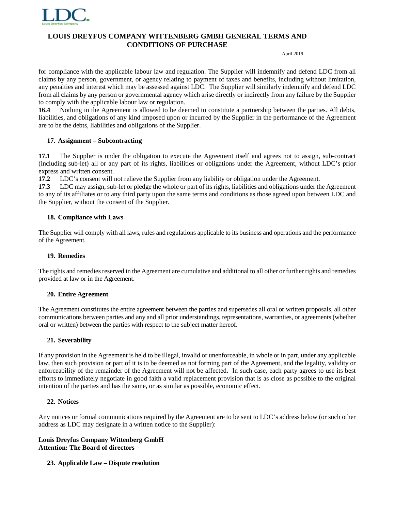

April 2019

for compliance with the applicable labour law and regulation. The Supplier will indemnify and defend LDC from all claims by any person, government, or agency relating to payment of taxes and benefits, including without limitation, any penalties and interest which may be assessed against LDC. The Supplier will similarly indemnify and defend LDC from all claims by any person or governmental agency which arise directly or indirectly from any failure by the Supplier to comply with the applicable labour law or regulation.

**16.4** Nothing in the Agreement is allowed to be deemed to constitute a partnership between the parties. All debts, liabilities, and obligations of any kind imposed upon or incurred by the Supplier in the performance of the Agreement are to be the debts, liabilities and obligations of the Supplier.

## **17. Assignment – Subcontracting**

**17.1** The Supplier is under the obligation to execute the Agreement itself and agrees not to assign, sub-contract (including sub-let) all or any part of its rights, liabilities or obligations under the Agreement, without LDC's prior express and written consent.

**17.2** LDC's consent will not relieve the Supplier from any liability or obligation under the Agreement.

**17.3** LDC may assign, sub-let or pledge the whole or part of its rights, liabilities and obligations under the Agreement to any of its affiliates or to any third party upon the same terms and conditions as those agreed upon between LDC and the Supplier, without the consent of the Supplier.

## **18. Compliance with Laws**

The Supplier will comply with all laws, rules and regulations applicable to its business and operations and the performance of the Agreement.

### **19. Remedies**

The rights and remedies reserved in the Agreement are cumulative and additional to all other or further rights and remedies provided at law or in the Agreement.

### **20. Entire Agreement**

The Agreement constitutes the entire agreement between the parties and supersedes all oral or written proposals, all other communications between parties and any and all prior understandings, representations, warranties, or agreements (whether oral or written) between the parties with respect to the subject matter hereof.

### **21. Severability**

If any provision in the Agreement is held to be illegal, invalid or unenforceable, in whole or in part, under any applicable law, then such provision or part of it is to be deemed as not forming part of the Agreement, and the legality, validity or enforceability of the remainder of the Agreement will not be affected. In such case, each party agrees to use its best efforts to immediately negotiate in good faith a valid replacement provision that is as close as possible to the original intention of the parties and has the same, or as similar as possible, economic effect.

### **22. Notices**

Any notices or formal communications required by the Agreement are to be sent to LDC's address below (or such other address as LDC may designate in a written notice to the Supplier):

#### **Louis Dreyfus Company Wittenberg GmbH Attention: The Board of directors**

### **23. Applicable Law – Dispute resolution**